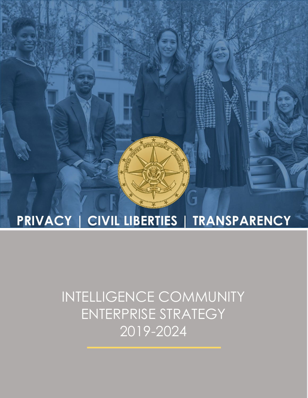# **PRIVACY | CIVIL LIBERTIES | TRANSPARENCY**

## INTELLIGENCE COMMUNITY ENTERPRISE STRATEGY 2019-2024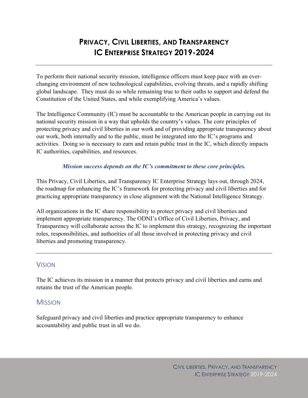## **PRIVACY, CIVIL LIBERTIES, AND TRANSPARENCY IC ENTERPRISE STRATEGY 2019-2024**

To perform their national security mission, intelligence officers must keep pace with an everchanging environment of new technological capabilities, evolving threats, and a rapidly shifting global landscape. They must do so while remaining true to their oaths to support and defend the Constitution of the United States, and while exemplifying America's values.

The Intelligence Community (IC) must be accountable to the American people in carrying out its national security mission in a way that upholds the country's values. The core principles of protecting privacy and civil liberties in our work and of providing appropriate transparency about our work, both internally and to the public, must be integrated into the IC's programs and activities. Doing so is necessary to earn and retain public trust in the IC, which directly impacts IC authorities, capabilities, and resources.

#### *Mission success depends on the IC's commitment to these core principles.*

This Privacy, Civil Liberties, and Transparency IC Enterprise Strategy lays out, through 2024, the roadmap for enhancing the IC's framework for protecting privacy and civil liberties and for practicing appropriate transparency in close alignment with the National Intelligence Strategy.

All organizations in the IC share responsibility to protect privacy and civil liberties and implement appropriate transparency. The ODNI's Office of Civil Liberties, Privacy, and Transparency will collaborate across the IC to implement this strategy, recognizing the important roles, responsibilities, and authorities of all those involved in protecting privacy and civil liberties and promoting transparency.

### **VISION**

The IC achieves its mission in a manner that protects privacy and civil liberties and earns and retains the trust of the American people.

## **MISSION**

Safeguard privacy and civil liberties and practice appropriate transparency to enhance accountability and public trust in all we do.